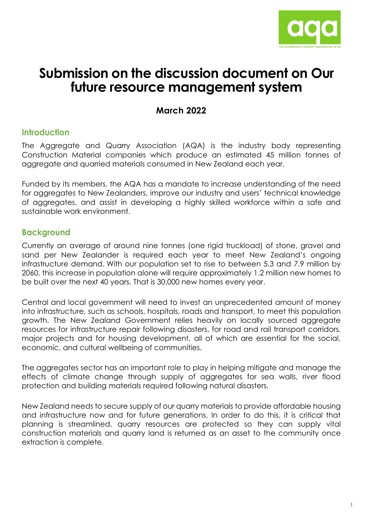

# **Submission on the discussion document on Our future resource management system**

# **March 2022**

# **Introduction**

The Aggregate and Quarry Association (AQA) is the industry body representing Construction Material companies which produce an estimated 45 million tonnes of aggregate and quarried materials consumed in New Zealand each year.

Funded by its members, the AQA has a mandate to increase understanding of the need for aggregates to New Zealanders, improve our industry and users' technical knowledge of aggregates, and assist in developing a highly skilled workforce within a safe and sustainable work environment.

## **Background**

Currently an average of around nine tonnes (one rigid truckload) of stone, gravel and sand per New Zealander is required each year to meet New Zealand's ongoing infrastructure demand. With our population set to rise to between 5.3 and 7.9 million by 2060, this increase in population alone will require approximately 1.2 million new homes to be built over the next 40 years. That is 30,000 new homes every year.

Central and local government will need to invest an unprecedented amount of money into infrastructure, such as schools, hospitals, roads and transport, to meet this population growth. The New Zealand Government relies heavily on locally sourced aggregate resources for infrastructure repair following disasters, for road and rail transport corridors, major projects and for housing development, all of which are essential for the social, economic, and cultural wellbeing of communities.

The aggregates sector has an important role to play in helping mitigate and manage the effects of climate change through supply of aggregates for sea walls, river flood protection and building materials required following natural disasters.

New Zealand needs to secure supply of our quarry materials to provide affordable housing and infrastructure now and for future generations. In order to do this, it is critical that planning is streamlined, quarry resources are protected so they can supply vital construction materials and quarry land is returned as an asset to the community once extraction is complete.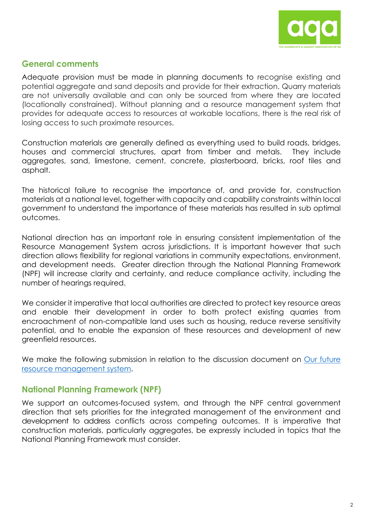

## **General comments**

Adequate provision must be made in planning documents to recognise existing and potential aggregate and sand deposits and provide for their extraction. Quarry materials are not universally available and can only be sourced from where they are located (locationally constrained). Without planning and a resource management system that provides for adequate access to resources at workable locations, there is the real risk of losing access to such proximate resources.

Construction materials are generally defined as everything used to build roads, bridges, houses and commercial structures, apart from timber and metals. They include aggregates, sand, limestone, cement, concrete, plasterboard, bricks, roof tiles and asphalt.

The historical failure to recognise the importance of, and provide for, construction materials at a national level, together with capacity and capability constraints within local government to understand the importance of these materials has resulted in sub optimal outcomes.

National direction has an important role in ensuring consistent implementation of the Resource Management System across jurisdictions. It is important however that such direction allows flexibility for regional variations in community expectations, environment, and development needs. Greater direction through the National Planning Framework (NPF) will increase clarity and certainty, and reduce compliance activity, including the number of hearings required.

We consider it imperative that local authorities are directed to protect key resource areas and enable their development in order to both protect existing quarries from encroachment of non-compatible land uses such as housing, reduce reverse sensitivity potential, and to enable the expansion of these resources and development of new greenfield resources.

We make the following submission in relation to the discussion document on [Our future](https://environment.govt.nz/assets/publications/Our-future-resource-management-system-materials-for-discussion.pdf)  [resource management system.](https://environment.govt.nz/assets/publications/Our-future-resource-management-system-materials-for-discussion.pdf)

## **National Planning Framework (NPF)**

We support an outcomes-focused system, and through the NPF central government direction that sets priorities for the integrated management of the environment and development to address conflicts across competing outcomes. It is imperative that construction materials, particularly aggregates, be expressly included in topics that the National Planning Framework must consider.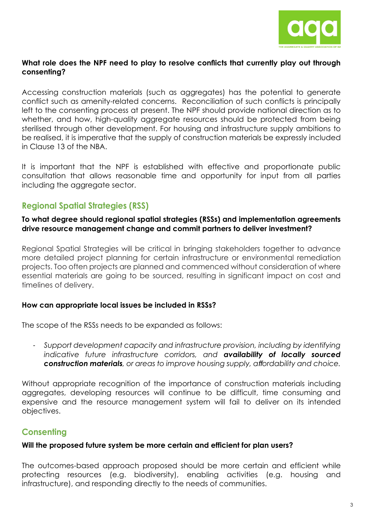

#### **What role does the NPF need to play to resolve conflicts that currently play out through consenting?**

Accessing construction materials (such as aggregates) has the potential to generate conflict such as amenity-related concerns. Reconciliation of such conflicts is principally left to the consenting process at present. The NPF should provide national direction as to whether, and how, high-quality aggregate resources should be protected from being sterilised through other development. For housing and infrastructure supply ambitions to be realised, it is imperative that the supply of construction materials be expressly included in Clause 13 of the NBA.

It is important that the NPF is established with effective and proportionate public consultation that allows reasonable time and opportunity for input from all parties including the aggregate sector.

# **Regional Spatial Strategies (RSS)**

#### **To what degree should regional spatial strategies (RSSs) and implementation agreements drive resource management change and commit partners to deliver investment?**

Regional Spatial Strategies will be critical in bringing stakeholders together to advance more detailed project planning for certain infrastructure or environmental remediation projects. Too often projects are planned and commenced without consideration of where essential materials are going to be sourced, resulting in significant impact on cost and timelines of delivery.

#### **How can appropriate local issues be included in RSSs?**

The scope of the RSSs needs to be expanded as follows:

- *Support development capacity and infrastructure provision, including by identifying indicative future infrastructure corridors, and availability of locally sourced construction materials, or areas to improve housing supply, affordability and choice.*

Without appropriate recognition of the importance of construction materials including aggregates, developing resources will continue to be difficult, time consuming and expensive and the resource management system will fail to deliver on its intended objectives.

# **Consenting**

#### **Will the proposed future system be more certain and efficient for plan users?**

The outcomes-based approach proposed should be more certain and efficient while protecting resources (e.g. biodiversity), enabling activities (e.g. housing and infrastructure), and responding directly to the needs of communities.